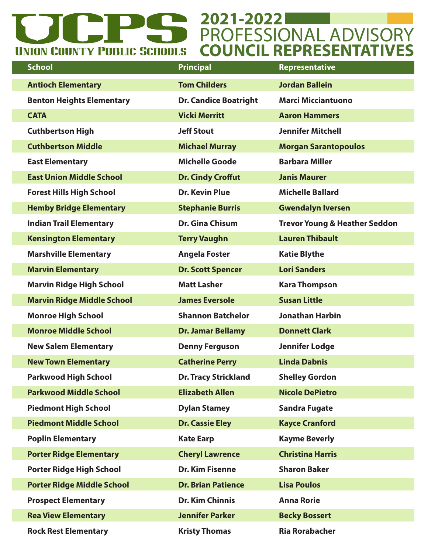## **2021-2022** PROFESSIONAL ADVISORY **COUNCIL REPRESENTATIVESUNION COUNTY PUBLIC SCHOOLS**

| <b>School</b>                     | <b>Principal</b>             | Representative                           |
|-----------------------------------|------------------------------|------------------------------------------|
| <b>Antioch Elementary</b>         | <b>Tom Childers</b>          | <b>Jordan Ballein</b>                    |
| <b>Benton Heights Elementary</b>  | <b>Dr. Candice Boatright</b> | <b>Marci Micciantuono</b>                |
| <b>CATA</b>                       | <b>Vicki Merritt</b>         | <b>Aaron Hammers</b>                     |
| <b>Cuthbertson High</b>           | <b>Jeff Stout</b>            | <b>Jennifer Mitchell</b>                 |
| <b>Cuthbertson Middle</b>         | <b>Michael Murray</b>        | <b>Morgan Sarantopoulos</b>              |
| <b>East Elementary</b>            | <b>Michelle Goode</b>        | <b>Barbara Miller</b>                    |
| <b>East Union Middle School</b>   | <b>Dr. Cindy Croffut</b>     | <b>Janis Maurer</b>                      |
| <b>Forest Hills High School</b>   | <b>Dr. Kevin Plue</b>        | <b>Michelle Ballard</b>                  |
| <b>Hemby Bridge Elementary</b>    | <b>Stephanie Burris</b>      | <b>Gwendalyn Iversen</b>                 |
| <b>Indian Trail Elementary</b>    | <b>Dr. Gina Chisum</b>       | <b>Trevor Young &amp; Heather Seddon</b> |
| <b>Kensington Elementary</b>      | <b>Terry Vaughn</b>          | <b>Lauren Thibault</b>                   |
| <b>Marshville Elementary</b>      | <b>Angela Foster</b>         | <b>Katie Blythe</b>                      |
| <b>Marvin Elementary</b>          | <b>Dr. Scott Spencer</b>     | <b>Lori Sanders</b>                      |
| <b>Marvin Ridge High School</b>   | <b>Matt Lasher</b>           | <b>Kara Thompson</b>                     |
| <b>Marvin Ridge Middle School</b> | <b>James Eversole</b>        | <b>Susan Little</b>                      |
| <b>Monroe High School</b>         | <b>Shannon Batchelor</b>     | <b>Jonathan Harbin</b>                   |
| <b>Monroe Middle School</b>       | <b>Dr. Jamar Bellamy</b>     | <b>Donnett Clark</b>                     |
| <b>New Salem Elementary</b>       | <b>Denny Ferguson</b>        | <b>Jennifer Lodge</b>                    |
| <b>New Town Elementary</b>        | <b>Catherine Perry</b>       | <b>Linda Dabnis</b>                      |
| <b>Parkwood High School</b>       | <b>Dr. Tracy Strickland</b>  | <b>Shelley Gordon</b>                    |
| <b>Parkwood Middle School</b>     | <b>Elizabeth Allen</b>       | <b>Nicole DePietro</b>                   |
| <b>Piedmont High School</b>       | <b>Dylan Stamey</b>          | <b>Sandra Fugate</b>                     |
| <b>Piedmont Middle School</b>     | <b>Dr. Cassie Eley</b>       | <b>Kayce Cranford</b>                    |
| <b>Poplin Elementary</b>          | <b>Kate Earp</b>             | <b>Kayme Beverly</b>                     |
| <b>Porter Ridge Elementary</b>    | <b>Cheryl Lawrence</b>       | <b>Christina Harris</b>                  |
| <b>Porter Ridge High School</b>   | <b>Dr. Kim Fisenne</b>       | <b>Sharon Baker</b>                      |
| <b>Porter Ridge Middle School</b> | <b>Dr. Brian Patience</b>    | <b>Lisa Poulos</b>                       |
| <b>Prospect Elementary</b>        | <b>Dr. Kim Chinnis</b>       | <b>Anna Rorie</b>                        |
| <b>Rea View Elementary</b>        | <b>Jennifer Parker</b>       | <b>Becky Bossert</b>                     |
| <b>Rock Rest Elementary</b>       | <b>Kristy Thomas</b>         | <b>Ria Rorabacher</b>                    |